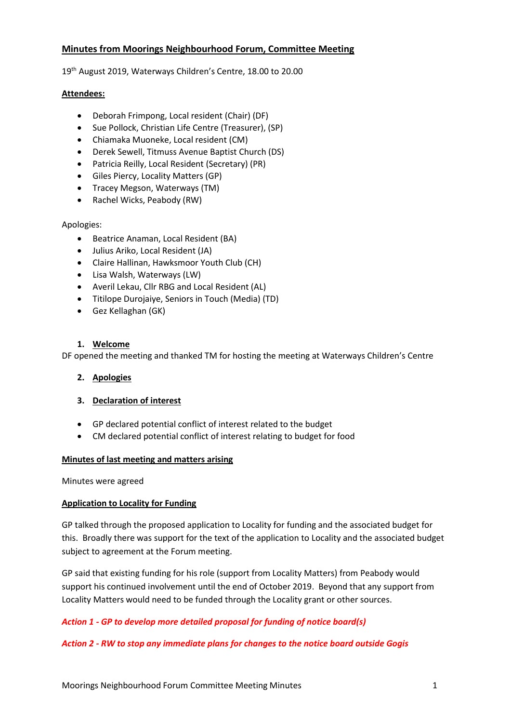# **Minutes from Moorings Neighbourhood Forum, Committee Meeting**

19<sup>th</sup> August 2019, Waterways Children's Centre, 18.00 to 20.00

### **Attendees:**

- Deborah Frimpong, Local resident (Chair) (DF)
- Sue Pollock, Christian Life Centre (Treasurer), (SP)
- Chiamaka Muoneke, Local resident (CM)
- Derek Sewell, Titmuss Avenue Baptist Church (DS)
- Patricia Reilly, Local Resident (Secretary) (PR)
- Giles Piercy, Locality Matters (GP)
- Tracey Megson, Waterways (TM)
- Rachel Wicks, Peabody (RW)

### Apologies:

- Beatrice Anaman, Local Resident (BA)
- Julius Ariko, Local Resident (JA)
- Claire Hallinan, Hawksmoor Youth Club (CH)
- Lisa Walsh, Waterways (LW)
- Averil Lekau, Cllr RBG and Local Resident (AL)
- Titilope Durojaiye, Seniors in Touch (Media) (TD)
- Gez Kellaghan (GK)

### **1. Welcome**

DF opened the meeting and thanked TM for hosting the meeting at Waterways Children's Centre

# **2. Apologies**

# **3. Declaration of interest**

- GP declared potential conflict of interest related to the budget
- CM declared potential conflict of interest relating to budget for food

# **Minutes of last meeting and matters arising**

Minutes were agreed

# **Application to Locality for Funding**

GP talked through the proposed application to Locality for funding and the associated budget for this. Broadly there was support for the text of the application to Locality and the associated budget subject to agreement at the Forum meeting.

GP said that existing funding for his role (support from Locality Matters) from Peabody would support his continued involvement until the end of October 2019. Beyond that any support from Locality Matters would need to be funded through the Locality grant or other sources.

# *Action 1 - GP to develop more detailed proposal for funding of notice board(s)*

# *Action 2 - RW to stop any immediate plans for changes to the notice board outside Gogis*